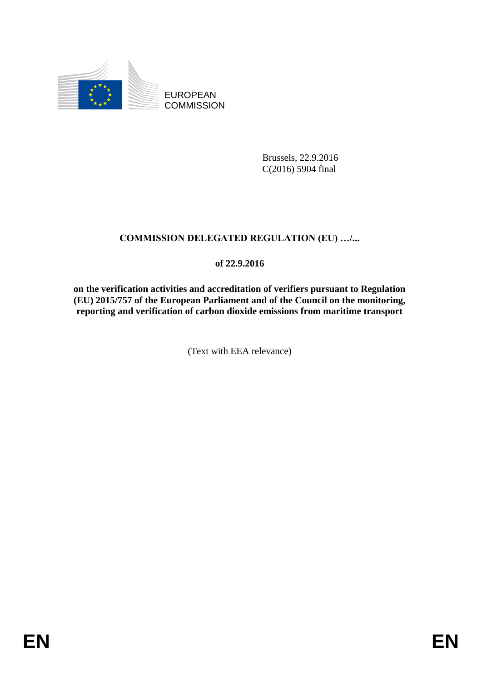

EUROPEAN **COMMISSION** 

> Brussels, 22.9.2016 C(2016) 5904 final

# **COMMISSION DELEGATED REGULATION (EU) …/...**

# **of 22.9.2016**

**on the verification activities and accreditation of verifiers pursuant to Regulation (EU) 2015/757 of the European Parliament and of the Council on the monitoring, reporting and verification of carbon dioxide emissions from maritime transport**

(Text with EEA relevance)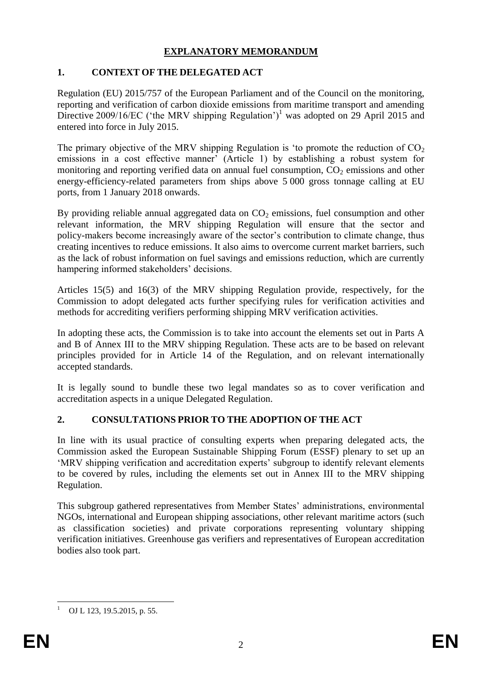## **EXPLANATORY MEMORANDUM**

# **1. CONTEXT OF THE DELEGATED ACT**

Regulation (EU) 2015/757 of the European Parliament and of the Council on the monitoring, reporting and verification of carbon dioxide emissions from maritime transport and amending Directive 2009/16/EC ('the MRV shipping Regulation')<sup>1</sup> was adopted on 29 April 2015 and entered into force in July 2015.

The primary objective of the MRV shipping Regulation is 'to promote the reduction of  $CO<sub>2</sub>$ emissions in a cost effective manner' (Article 1) by establishing a robust system for monitoring and reporting verified data on annual fuel consumption,  $CO<sub>2</sub>$  emissions and other energy-efficiency-related parameters from ships above 5 000 gross tonnage calling at EU ports, from 1 January 2018 onwards.

By providing reliable annual aggregated data on  $CO<sub>2</sub>$  emissions, fuel consumption and other relevant information, the MRV shipping Regulation will ensure that the sector and policy-makers become increasingly aware of the sector's contribution to climate change, thus creating incentives to reduce emissions. It also aims to overcome current market barriers, such as the lack of robust information on fuel savings and emissions reduction, which are currently hampering informed stakeholders' decisions.

Articles 15(5) and 16(3) of the MRV shipping Regulation provide, respectively, for the Commission to adopt delegated acts further specifying rules for verification activities and methods for accrediting verifiers performing shipping MRV verification activities.

In adopting these acts, the Commission is to take into account the elements set out in Parts A and B of Annex III to the MRV shipping Regulation. These acts are to be based on relevant principles provided for in Article 14 of the Regulation, and on relevant internationally accepted standards.

It is legally sound to bundle these two legal mandates so as to cover verification and accreditation aspects in a unique Delegated Regulation.

# **2. CONSULTATIONS PRIOR TO THE ADOPTION OF THE ACT**

In line with its usual practice of consulting experts when preparing delegated acts, the Commission asked the European Sustainable Shipping Forum (ESSF) plenary to set up an 'MRV shipping verification and accreditation experts' subgroup to identify relevant elements to be covered by rules, including the elements set out in Annex III to the MRV shipping Regulation.

This subgroup gathered representatives from Member States' administrations, environmental NGOs, international and European shipping associations, other relevant maritime actors (such as classification societies) and private corporations representing voluntary shipping verification initiatives. Greenhouse gas verifiers and representatives of European accreditation bodies also took part.

<u>.</u>

OJ L 123, 19.5.2015, p. 55.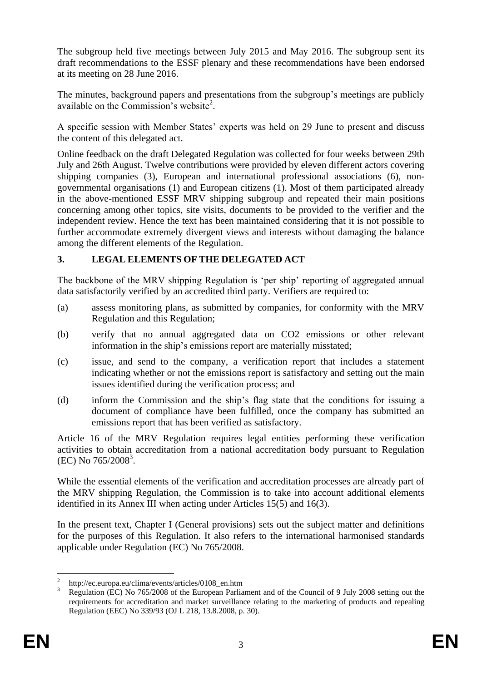The subgroup held five meetings between July 2015 and May 2016. The subgroup sent its draft recommendations to the ESSF plenary and these recommendations have been endorsed at its meeting on 28 June 2016.

The minutes, background papers and presentations from the subgroup's meetings are publicly available on the Commission's website<sup>2</sup>.

A specific session with Member States' experts was held on 29 June to present and discuss the content of this delegated act.

Online feedback on the draft Delegated Regulation was collected for four weeks between 29th July and 26th August. Twelve contributions were provided by eleven different actors covering shipping companies (3), European and international professional associations (6), nongovernmental organisations (1) and European citizens (1). Most of them participated already in the above-mentioned ESSF MRV shipping subgroup and repeated their main positions concerning among other topics, site visits, documents to be provided to the verifier and the independent review. Hence the text has been maintained considering that it is not possible to further accommodate extremely divergent views and interests without damaging the balance among the different elements of the Regulation.

## **3. LEGAL ELEMENTS OF THE DELEGATED ACT**

The backbone of the MRV shipping Regulation is 'per ship' reporting of aggregated annual data satisfactorily verified by an accredited third party. Verifiers are required to:

- (a) assess monitoring plans, as submitted by companies, for conformity with the MRV Regulation and this Regulation;
- (b) verify that no annual aggregated data on CO2 emissions or other relevant information in the ship's emissions report are materially misstated;
- (c) issue, and send to the company, a verification report that includes a statement indicating whether or not the emissions report is satisfactory and setting out the main issues identified during the verification process; and
- (d) inform the Commission and the ship's flag state that the conditions for issuing a document of compliance have been fulfilled, once the company has submitted an emissions report that has been verified as satisfactory.

Article 16 of the MRV Regulation requires legal entities performing these verification activities to obtain accreditation from a national accreditation body pursuant to Regulation (EC) No 765/2008<sup>3</sup>.

While the essential elements of the verification and accreditation processes are already part of the MRV shipping Regulation, the Commission is to take into account additional elements identified in its Annex III when acting under Articles 15(5) and 16(3).

In the present text, Chapter I (General provisions) sets out the subject matter and definitions for the purposes of this Regulation. It also refers to the international harmonised standards applicable under Regulation (EC) No 765/2008.

<sup>&</sup>lt;u>.</u> 2 http://ec.europa.eu/clima/events/articles/0108\_en.htm

<sup>&</sup>lt;sup>3</sup> Regulation (EC) No 765/2008 of the European Parliament and of the Council of 9 July 2008 setting out the requirements for accreditation and market surveillance relating to the marketing of products and repealing Regulation (EEC) No 339/93 (OJ L 218, 13.8.2008, p. 30).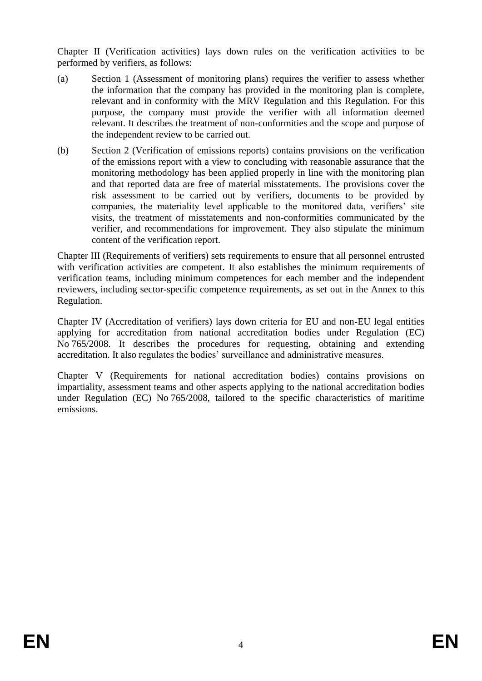Chapter II (Verification activities) lays down rules on the verification activities to be performed by verifiers, as follows:

- (a) Section 1 (Assessment of monitoring plans) requires the verifier to assess whether the information that the company has provided in the monitoring plan is complete, relevant and in conformity with the MRV Regulation and this Regulation. For this purpose, the company must provide the verifier with all information deemed relevant. It describes the treatment of non-conformities and the scope and purpose of the independent review to be carried out.
- (b) Section 2 (Verification of emissions reports) contains provisions on the verification of the emissions report with a view to concluding with reasonable assurance that the monitoring methodology has been applied properly in line with the monitoring plan and that reported data are free of material misstatements. The provisions cover the risk assessment to be carried out by verifiers, documents to be provided by companies, the materiality level applicable to the monitored data, verifiers' site visits, the treatment of misstatements and non-conformities communicated by the verifier, and recommendations for improvement. They also stipulate the minimum content of the verification report.

Chapter III (Requirements of verifiers) sets requirements to ensure that all personnel entrusted with verification activities are competent. It also establishes the minimum requirements of verification teams, including minimum competences for each member and the independent reviewers, including sector-specific competence requirements, as set out in the Annex to this Regulation.

Chapter IV (Accreditation of verifiers) lays down criteria for EU and non-EU legal entities applying for accreditation from national accreditation bodies under Regulation (EC) No 765/2008. It describes the procedures for requesting, obtaining and extending accreditation. It also regulates the bodies' surveillance and administrative measures.

Chapter V (Requirements for national accreditation bodies) contains provisions on impartiality, assessment teams and other aspects applying to the national accreditation bodies under Regulation (EC) No 765/2008, tailored to the specific characteristics of maritime emissions.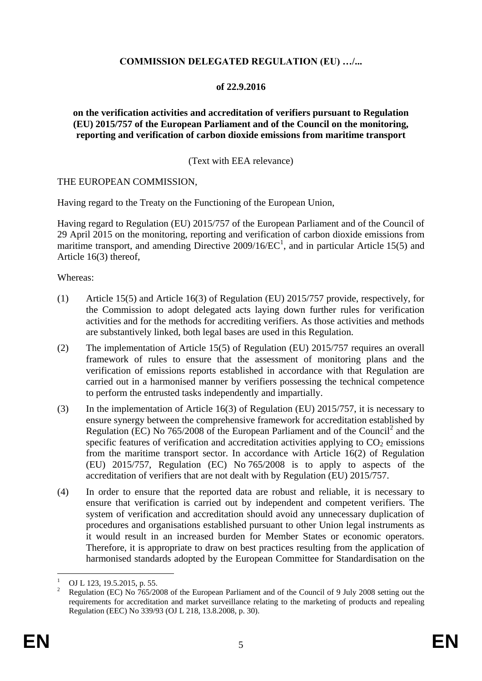### **COMMISSION DELEGATED REGULATION (EU) …/...**

### **of 22.9.2016**

### **on the verification activities and accreditation of verifiers pursuant to Regulation (EU) 2015/757 of the European Parliament and of the Council on the monitoring, reporting and verification of carbon dioxide emissions from maritime transport**

#### (Text with EEA relevance)

### THE EUROPEAN COMMISSION,

Having regard to the Treaty on the Functioning of the European Union,

Having regard to Regulation (EU) 2015/757 of the European Parliament and of the Council of 29 April 2015 on the monitoring, reporting and verification of carbon dioxide emissions from maritime transport, and amending Directive  $2009/16/EC^1$ , and in particular Article 15(5) and Article 16(3) thereof,

Whereas:

- (1) Article 15(5) and Article 16(3) of Regulation (EU) 2015/757 provide, respectively, for the Commission to adopt delegated acts laying down further rules for verification activities and for the methods for accrediting verifiers. As those activities and methods are substantively linked, both legal bases are used in this Regulation.
- (2) The implementation of Article 15(5) of Regulation (EU) 2015/757 requires an overall framework of rules to ensure that the assessment of monitoring plans and the verification of emissions reports established in accordance with that Regulation are carried out in a harmonised manner by verifiers possessing the technical competence to perform the entrusted tasks independently and impartially.
- (3) In the implementation of Article 16(3) of Regulation (EU) 2015/757, it is necessary to ensure synergy between the comprehensive framework for accreditation established by Regulation (EC) No  $765/2008$  of the European Parliament and of the Council<sup>2</sup> and the specific features of verification and accreditation activities applying to  $CO<sub>2</sub>$  emissions from the maritime transport sector. In accordance with Article 16(2) of Regulation (EU) 2015/757, Regulation (EC) No 765/2008 is to apply to aspects of the accreditation of verifiers that are not dealt with by Regulation (EU) 2015/757.
- (4) In order to ensure that the reported data are robust and reliable, it is necessary to ensure that verification is carried out by independent and competent verifiers. The system of verification and accreditation should avoid any unnecessary duplication of procedures and organisations established pursuant to other Union legal instruments as it would result in an increased burden for Member States or economic operators. Therefore, it is appropriate to draw on best practices resulting from the application of harmonised standards adopted by the European Committee for Standardisation on the

<u>.</u>

<sup>&</sup>lt;sup>1</sup> OJ L 123, 19.5.2015, p. 55.

<sup>2</sup> Regulation (EC) No 765/2008 of the European Parliament and of the Council of 9 July 2008 setting out the requirements for accreditation and market surveillance relating to the marketing of products and repealing Regulation (EEC) No 339/93 (OJ L 218, 13.8.2008, p. 30).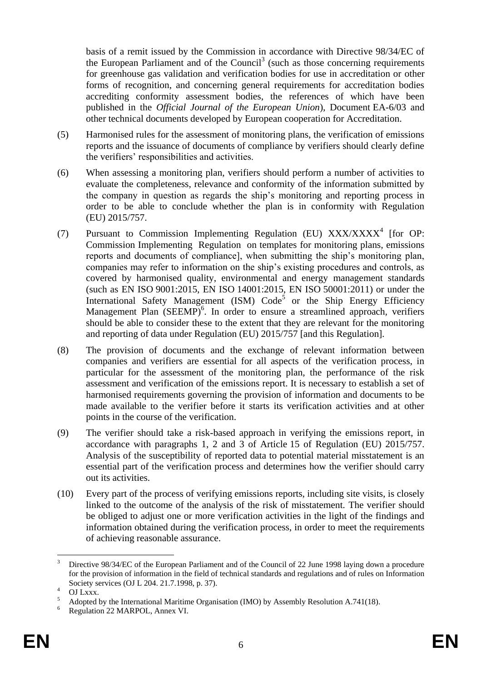basis of a remit issued by the Commission in accordance with Directive 98/34/EC of the European Parliament and of the Council<sup>3</sup> (such as those concerning requirements for greenhouse gas validation and verification bodies for use in accreditation or other forms of recognition, and concerning general requirements for accreditation bodies accrediting conformity assessment bodies, the references of which have been published in the *Official Journal of the European Union*), Document EA-6/03 and other technical documents developed by European cooperation for Accreditation.

- (5) Harmonised rules for the assessment of monitoring plans, the verification of emissions reports and the issuance of documents of compliance by verifiers should clearly define the verifiers' responsibilities and activities.
- (6) When assessing a monitoring plan, verifiers should perform a number of activities to evaluate the completeness, relevance and conformity of the information submitted by the company in question as regards the ship's monitoring and reporting process in order to be able to conclude whether the plan is in conformity with Regulation (EU) 2015/757.
- (7) Pursuant to Commission Implementing Regulation (EU)  $XXX/XXXX<sup>4</sup>$  [for OP: Commission Implementing Regulation on templates for monitoring plans, emissions reports and documents of compliance], when submitting the ship's monitoring plan, companies may refer to information on the ship's existing procedures and controls, as covered by harmonised quality, environmental and energy management standards (such as EN ISO 9001:2015, EN ISO 14001:2015, EN ISO 50001:2011) or under the International Safety Management (ISM)  $Code<sup>5</sup>$  or the Ship Energy Efficiency Management Plan (SEEMP)<sup>6</sup>. In order to ensure a streamlined approach, verifiers should be able to consider these to the extent that they are relevant for the monitoring and reporting of data under Regulation (EU) 2015/757 [and this Regulation].
- (8) The provision of documents and the exchange of relevant information between companies and verifiers are essential for all aspects of the verification process, in particular for the assessment of the monitoring plan, the performance of the risk assessment and verification of the emissions report. It is necessary to establish a set of harmonised requirements governing the provision of information and documents to be made available to the verifier before it starts its verification activities and at other points in the course of the verification.
- (9) The verifier should take a risk-based approach in verifying the emissions report, in accordance with paragraphs 1, 2 and 3 of Article 15 of Regulation (EU) 2015/757. Analysis of the susceptibility of reported data to potential material misstatement is an essential part of the verification process and determines how the verifier should carry out its activities.
- (10) Every part of the process of verifying emissions reports, including site visits, is closely linked to the outcome of the analysis of the risk of misstatement. The verifier should be obliged to adjust one or more verification activities in the light of the findings and information obtained during the verification process, in order to meet the requirements of achieving reasonable assurance.

<sup>1</sup> Directive 98/34/EC of the European Parliament and of the Council of 22 June 1998 laying down a procedure for the provision of information in the field of technical standards and regulations and of rules on Information Society services (OJ L 204. 21.7.1998, p. 37).

 $^{4}$  OJ Lxxx.

<sup>5</sup> Adopted by the International Maritime Organisation (IMO) by Assembly Resolution A.741(18).

<sup>6</sup> Regulation 22 MARPOL, Annex VI.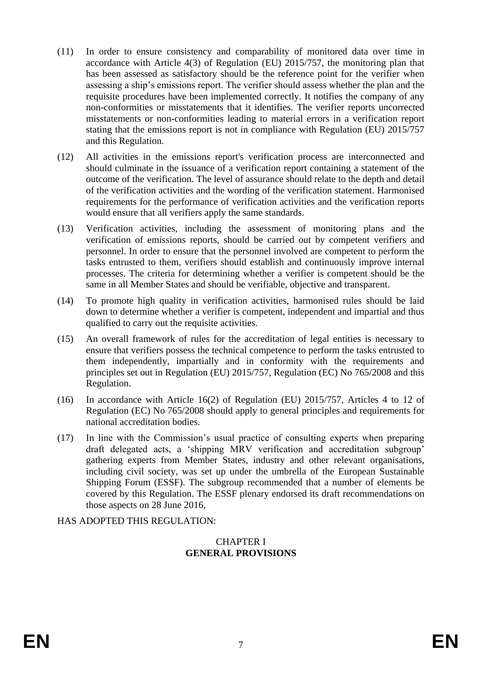- (11) In order to ensure consistency and comparability of monitored data over time in accordance with Article 4(3) of Regulation (EU) 2015/757, the monitoring plan that has been assessed as satisfactory should be the reference point for the verifier when assessing a ship's emissions report. The verifier should assess whether the plan and the requisite procedures have been implemented correctly. It notifies the company of any non-conformities or misstatements that it identifies. The verifier reports uncorrected misstatements or non-conformities leading to material errors in a verification report stating that the emissions report is not in compliance with Regulation (EU) 2015/757 and this Regulation.
- (12) All activities in the emissions report's verification process are interconnected and should culminate in the issuance of a verification report containing a statement of the outcome of the verification. The level of assurance should relate to the depth and detail of the verification activities and the wording of the verification statement. Harmonised requirements for the performance of verification activities and the verification reports would ensure that all verifiers apply the same standards.
- (13) Verification activities, including the assessment of monitoring plans and the verification of emissions reports, should be carried out by competent verifiers and personnel. In order to ensure that the personnel involved are competent to perform the tasks entrusted to them, verifiers should establish and continuously improve internal processes. The criteria for determining whether a verifier is competent should be the same in all Member States and should be verifiable, objective and transparent.
- (14) To promote high quality in verification activities, harmonised rules should be laid down to determine whether a verifier is competent, independent and impartial and thus qualified to carry out the requisite activities.
- (15) An overall framework of rules for the accreditation of legal entities is necessary to ensure that verifiers possess the technical competence to perform the tasks entrusted to them independently, impartially and in conformity with the requirements and principles set out in Regulation (EU) 2015/757, Regulation (EC) No 765/2008 and this Regulation.
- (16) In accordance with Article 16(2) of Regulation (EU) 2015/757, Articles 4 to 12 of Regulation (EC) No 765/2008 should apply to general principles and requirements for national accreditation bodies.
- (17) In line with the Commission's usual practice of consulting experts when preparing draft delegated acts, a 'shipping MRV verification and accreditation subgroup' gathering experts from Member States, industry and other relevant organisations, including civil society, was set up under the umbrella of the European Sustainable Shipping Forum (ESSF). The subgroup recommended that a number of elements be covered by this Regulation. The ESSF plenary endorsed its draft recommendations on those aspects on 28 June 2016,

## HAS ADOPTED THIS REGULATION:

#### CHAPTER I **GENERAL PROVISIONS**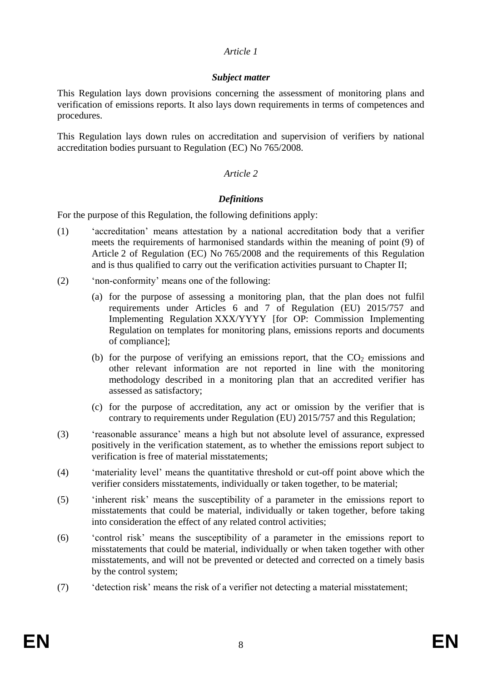### *Subject matter*

This Regulation lays down provisions concerning the assessment of monitoring plans and verification of emissions reports. It also lays down requirements in terms of competences and procedures.

This Regulation lays down rules on accreditation and supervision of verifiers by national accreditation bodies pursuant to Regulation (EC) No 765/2008.

### *Article 2*

### *Definitions*

For the purpose of this Regulation, the following definitions apply:

- (1) 'accreditation' means attestation by a national accreditation body that a verifier meets the requirements of harmonised standards within the meaning of point (9) of Article 2 of Regulation (EC) No 765/2008 and the requirements of this Regulation and is thus qualified to carry out the verification activities pursuant to Chapter II;
- (2) 'non-conformity' means one of the following:
	- (a) for the purpose of assessing a monitoring plan, that the plan does not fulfil requirements under Articles 6 and 7 of Regulation (EU) 2015/757 and Implementing Regulation XXX/YYYY [for OP: Commission Implementing Regulation on templates for monitoring plans, emissions reports and documents of compliance];
	- (b) for the purpose of verifying an emissions report, that the  $CO<sub>2</sub>$  emissions and other relevant information are not reported in line with the monitoring methodology described in a monitoring plan that an accredited verifier has assessed as satisfactory;
	- (c) for the purpose of accreditation, any act or omission by the verifier that is contrary to requirements under Regulation (EU) 2015/757 and this Regulation;
- (3) 'reasonable assurance' means a high but not absolute level of assurance, expressed positively in the verification statement, as to whether the emissions report subject to verification is free of material misstatements;
- (4) 'materiality level' means the quantitative threshold or cut-off point above which the verifier considers misstatements, individually or taken together, to be material;
- (5) 'inherent risk' means the susceptibility of a parameter in the emissions report to misstatements that could be material, individually or taken together, before taking into consideration the effect of any related control activities;
- (6) 'control risk' means the susceptibility of a parameter in the emissions report to misstatements that could be material, individually or when taken together with other misstatements, and will not be prevented or detected and corrected on a timely basis by the control system;
- (7) 'detection risk' means the risk of a verifier not detecting a material misstatement;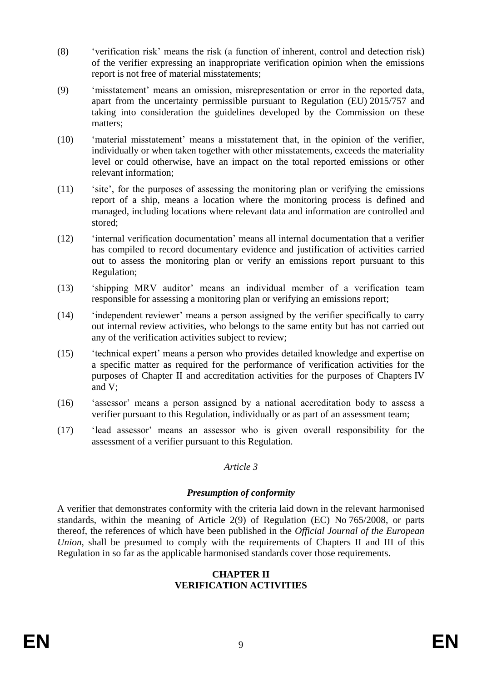- (8) 'verification risk' means the risk (a function of inherent, control and detection risk) of the verifier expressing an inappropriate verification opinion when the emissions report is not free of material misstatements;
- (9) 'misstatement' means an omission, misrepresentation or error in the reported data, apart from the uncertainty permissible pursuant to Regulation (EU) 2015/757 and taking into consideration the guidelines developed by the Commission on these matters;
- (10) 'material misstatement' means a misstatement that, in the opinion of the verifier, individually or when taken together with other misstatements, exceeds the materiality level or could otherwise, have an impact on the total reported emissions or other relevant information;
- (11) 'site', for the purposes of assessing the monitoring plan or verifying the emissions report of a ship, means a location where the monitoring process is defined and managed, including locations where relevant data and information are controlled and stored;
- (12) 'internal verification documentation' means all internal documentation that a verifier has compiled to record documentary evidence and justification of activities carried out to assess the monitoring plan or verify an emissions report pursuant to this Regulation;
- (13) 'shipping MRV auditor' means an individual member of a verification team responsible for assessing a monitoring plan or verifying an emissions report;
- (14) 'independent reviewer' means a person assigned by the verifier specifically to carry out internal review activities, who belongs to the same entity but has not carried out any of the verification activities subject to review;
- (15) 'technical expert' means a person who provides detailed knowledge and expertise on a specific matter as required for the performance of verification activities for the purposes of Chapter II and accreditation activities for the purposes of Chapters IV and V;
- (16) 'assessor' means a person assigned by a national accreditation body to assess a verifier pursuant to this Regulation, individually or as part of an assessment team;
- (17) 'lead assessor' means an assessor who is given overall responsibility for the assessment of a verifier pursuant to this Regulation.

#### *Presumption of conformity*

A verifier that demonstrates conformity with the criteria laid down in the relevant harmonised standards, within the meaning of Article 2(9) of Regulation (EC) No 765/2008, or parts thereof, the references of which have been published in the *Official Journal of the European Union*, shall be presumed to comply with the requirements of Chapters II and III of this Regulation in so far as the applicable harmonised standards cover those requirements.

#### **CHAPTER II VERIFICATION ACTIVITIES**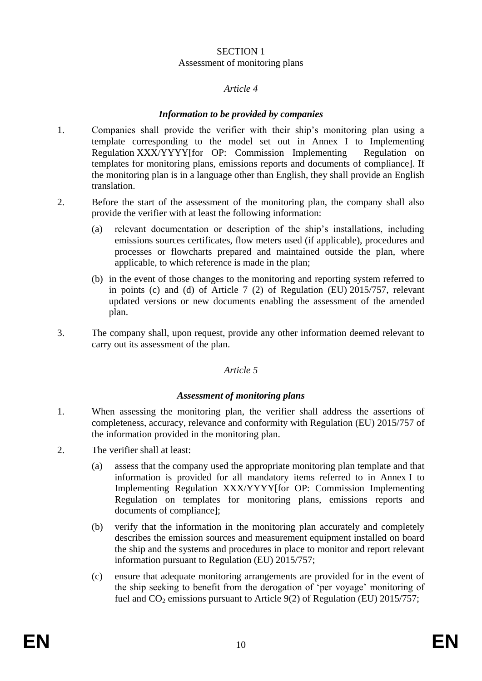### SECTION 1 Assessment of monitoring plans

### *Article 4*

### *Information to be provided by companies*

- 1. Companies shall provide the verifier with their ship's monitoring plan using a template corresponding to the model set out in Annex I to Implementing Regulation XXX/YYYY[for OP: Commission Implementing Regulation on templates for monitoring plans, emissions reports and documents of compliance]. If the monitoring plan is in a language other than English, they shall provide an English translation.
- 2. Before the start of the assessment of the monitoring plan, the company shall also provide the verifier with at least the following information:
	- (a) relevant documentation or description of the ship's installations, including emissions sources certificates, flow meters used (if applicable), procedures and processes or flowcharts prepared and maintained outside the plan, where applicable, to which reference is made in the plan;
	- (b) in the event of those changes to the monitoring and reporting system referred to in points (c) and (d) of Article 7 (2) of Regulation (EU) 2015/757, relevant updated versions or new documents enabling the assessment of the amended plan.
- 3. The company shall, upon request, provide any other information deemed relevant to carry out its assessment of the plan.

#### *Article 5*

#### *Assessment of monitoring plans*

- 1. When assessing the monitoring plan, the verifier shall address the assertions of completeness, accuracy, relevance and conformity with Regulation (EU) 2015/757 of the information provided in the monitoring plan.
- 2. The verifier shall at least:
	- (a) assess that the company used the appropriate monitoring plan template and that information is provided for all mandatory items referred to in Annex I to Implementing Regulation XXX/YYYY[for OP: Commission Implementing Regulation on templates for monitoring plans, emissions reports and documents of compliance];
	- (b) verify that the information in the monitoring plan accurately and completely describes the emission sources and measurement equipment installed on board the ship and the systems and procedures in place to monitor and report relevant information pursuant to Regulation (EU) 2015/757;
	- (c) ensure that adequate monitoring arrangements are provided for in the event of the ship seeking to benefit from the derogation of 'per voyage' monitoring of fuel and  $CO<sub>2</sub>$  emissions pursuant to Article 9(2) of Regulation (EU) 2015/757;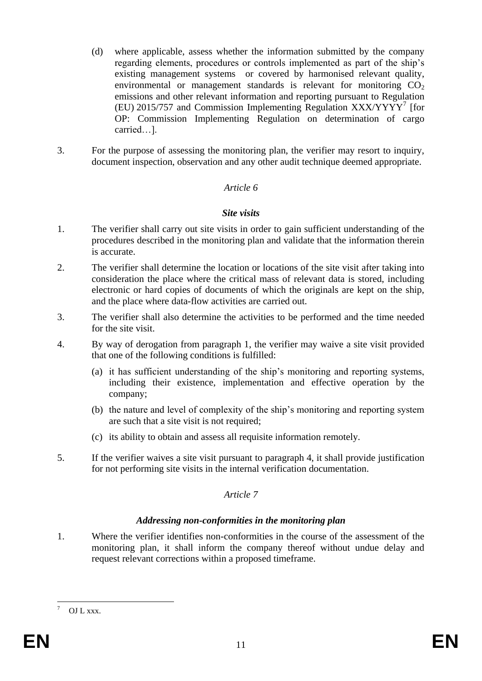- (d) where applicable, assess whether the information submitted by the company regarding elements, procedures or controls implemented as part of the ship's existing management systems or covered by harmonised relevant quality, environmental or management standards is relevant for monitoring  $CO<sub>2</sub>$ emissions and other relevant information and reporting pursuant to Regulation (EU) 2015/757 and Commission Implementing Regulation XXX/YYYY<sup>7</sup> [for OP: Commission Implementing Regulation on determination of cargo carried…].
- 3. For the purpose of assessing the monitoring plan, the verifier may resort to inquiry, document inspection, observation and any other audit technique deemed appropriate.

#### *Site visits*

- 1. The verifier shall carry out site visits in order to gain sufficient understanding of the procedures described in the monitoring plan and validate that the information therein is accurate.
- 2. The verifier shall determine the location or locations of the site visit after taking into consideration the place where the critical mass of relevant data is stored, including electronic or hard copies of documents of which the originals are kept on the ship, and the place where data-flow activities are carried out.
- 3. The verifier shall also determine the activities to be performed and the time needed for the site visit.
- 4. By way of derogation from paragraph 1, the verifier may waive a site visit provided that one of the following conditions is fulfilled:
	- (a) it has sufficient understanding of the ship's monitoring and reporting systems, including their existence, implementation and effective operation by the company;
	- (b) the nature and level of complexity of the ship's monitoring and reporting system are such that a site visit is not required;
	- (c) its ability to obtain and assess all requisite information remotely.
- 5. If the verifier waives a site visit pursuant to paragraph 4, it shall provide justification for not performing site visits in the internal verification documentation.

#### *Article 7*

#### *Addressing non-conformities in the monitoring plan*

1. Where the verifier identifies non-conformities in the course of the assessment of the monitoring plan, it shall inform the company thereof without undue delay and request relevant corrections within a proposed timeframe.

<u>.</u>

OJ L xxx.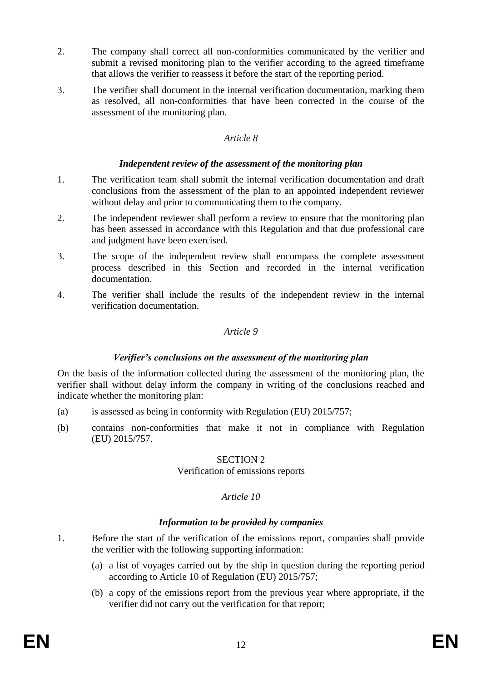- 2. The company shall correct all non-conformities communicated by the verifier and submit a revised monitoring plan to the verifier according to the agreed timeframe that allows the verifier to reassess it before the start of the reporting period.
- 3. The verifier shall document in the internal verification documentation, marking them as resolved, all non-conformities that have been corrected in the course of the assessment of the monitoring plan.

### *Independent review of the assessment of the monitoring plan*

- 1. The verification team shall submit the internal verification documentation and draft conclusions from the assessment of the plan to an appointed independent reviewer without delay and prior to communicating them to the company.
- 2. The independent reviewer shall perform a review to ensure that the monitoring plan has been assessed in accordance with this Regulation and that due professional care and judgment have been exercised.
- 3. The scope of the independent review shall encompass the complete assessment process described in this Section and recorded in the internal verification documentation.
- 4. The verifier shall include the results of the independent review in the internal verification documentation.

#### *Article 9*

#### *Verifier's conclusions on the assessment of the monitoring plan*

On the basis of the information collected during the assessment of the monitoring plan, the verifier shall without delay inform the company in writing of the conclusions reached and indicate whether the monitoring plan:

- (a) is assessed as being in conformity with Regulation (EU) 2015/757;
- (b) contains non-conformities that make it not in compliance with Regulation (EU) 2015/757.

#### SECTION 2

#### Verification of emissions reports

## *Article 10*

#### *Information to be provided by companies*

- 1. Before the start of the verification of the emissions report, companies shall provide the verifier with the following supporting information:
	- (a) a list of voyages carried out by the ship in question during the reporting period according to Article 10 of Regulation (EU) 2015/757;
	- (b) a copy of the emissions report from the previous year where appropriate, if the verifier did not carry out the verification for that report;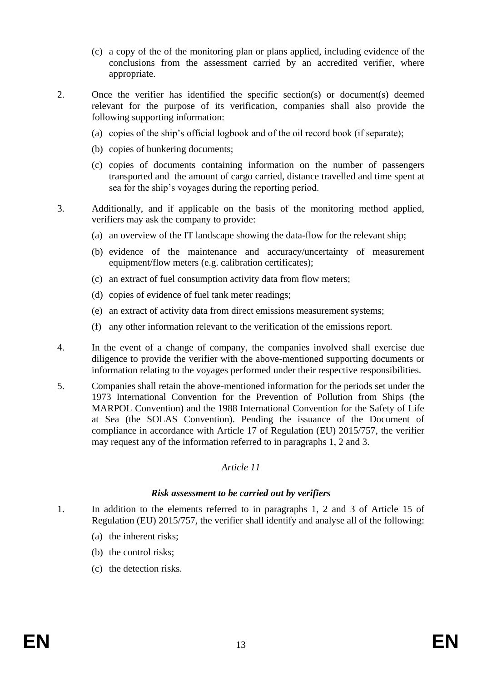- (c) a copy of the of the monitoring plan or plans applied, including evidence of the conclusions from the assessment carried by an accredited verifier, where appropriate.
- 2. Once the verifier has identified the specific section(s) or document(s) deemed relevant for the purpose of its verification, companies shall also provide the following supporting information:
	- (a) copies of the ship's official logbook and of the oil record book (if separate);
	- (b) copies of bunkering documents;
	- (c) copies of documents containing information on the number of passengers transported and the amount of cargo carried, distance travelled and time spent at sea for the ship's voyages during the reporting period.
- 3. Additionally, and if applicable on the basis of the monitoring method applied, verifiers may ask the company to provide:
	- (a) an overview of the IT landscape showing the data-flow for the relevant ship;
	- (b) evidence of the maintenance and accuracy/uncertainty of measurement equipment/flow meters (e.g. calibration certificates);
	- (c) an extract of fuel consumption activity data from flow meters;
	- (d) copies of evidence of fuel tank meter readings;
	- (e) an extract of activity data from direct emissions measurement systems;
	- (f) any other information relevant to the verification of the emissions report.
- 4. In the event of a change of company, the companies involved shall exercise due diligence to provide the verifier with the above-mentioned supporting documents or information relating to the voyages performed under their respective responsibilities.
- 5. Companies shall retain the above-mentioned information for the periods set under the 1973 International Convention for the Prevention of Pollution from Ships (the MARPOL Convention) and the 1988 International Convention for the Safety of Life at Sea (the SOLAS Convention). Pending the issuance of the Document of compliance in accordance with Article 17 of Regulation (EU) 2015/757, the verifier may request any of the information referred to in paragraphs 1, 2 and 3.

#### *Risk assessment to be carried out by verifiers*

- 1. In addition to the elements referred to in paragraphs 1, 2 and 3 of Article 15 of Regulation (EU) 2015/757, the verifier shall identify and analyse all of the following:
	- (a) the inherent risks;
	- (b) the control risks;
	- (c) the detection risks.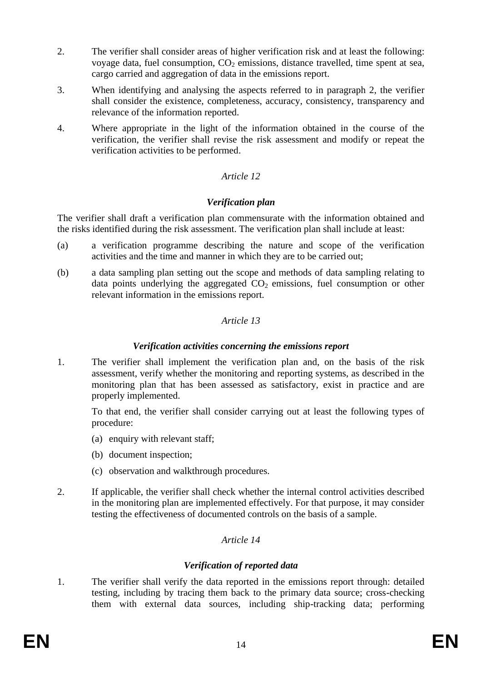- 2. The verifier shall consider areas of higher verification risk and at least the following: voyage data, fuel consumption,  $CO<sub>2</sub>$  emissions, distance travelled, time spent at sea, cargo carried and aggregation of data in the emissions report.
- 3. When identifying and analysing the aspects referred to in paragraph 2, the verifier shall consider the existence, completeness, accuracy, consistency, transparency and relevance of the information reported.
- 4. Where appropriate in the light of the information obtained in the course of the verification, the verifier shall revise the risk assessment and modify or repeat the verification activities to be performed.

## *Verification plan*

The verifier shall draft a verification plan commensurate with the information obtained and the risks identified during the risk assessment. The verification plan shall include at least:

- (a) a verification programme describing the nature and scope of the verification activities and the time and manner in which they are to be carried out;
- (b) a data sampling plan setting out the scope and methods of data sampling relating to data points underlying the aggregated  $CO<sub>2</sub>$  emissions, fuel consumption or other relevant information in the emissions report.

## *Article 13*

### *Verification activities concerning the emissions report*

1. The verifier shall implement the verification plan and, on the basis of the risk assessment, verify whether the monitoring and reporting systems, as described in the monitoring plan that has been assessed as satisfactory, exist in practice and are properly implemented.

To that end, the verifier shall consider carrying out at least the following types of procedure:

- (a) enquiry with relevant staff;
- (b) document inspection;
- (c) observation and walkthrough procedures.
- 2. If applicable, the verifier shall check whether the internal control activities described in the monitoring plan are implemented effectively. For that purpose, it may consider testing the effectiveness of documented controls on the basis of a sample.

## *Article 14*

## *Verification of reported data*

1. The verifier shall verify the data reported in the emissions report through: detailed testing, including by tracing them back to the primary data source; cross-checking them with external data sources, including ship-tracking data; performing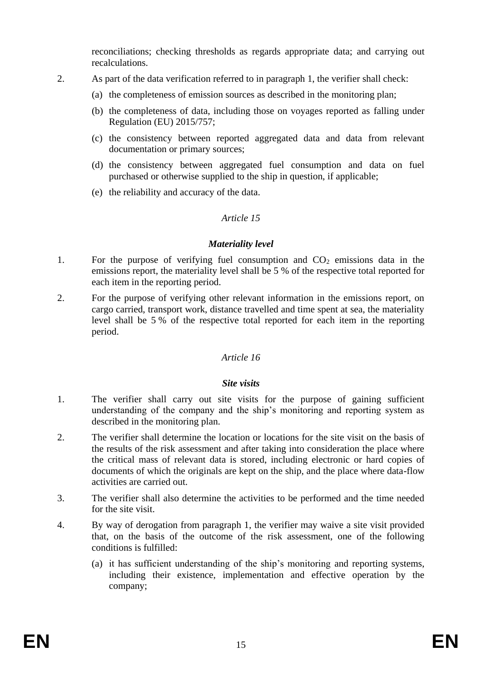reconciliations; checking thresholds as regards appropriate data; and carrying out recalculations.

- 2. As part of the data verification referred to in paragraph 1, the verifier shall check:
	- (a) the completeness of emission sources as described in the monitoring plan;
	- (b) the completeness of data, including those on voyages reported as falling under Regulation (EU) 2015/757;
	- (c) the consistency between reported aggregated data and data from relevant documentation or primary sources;
	- (d) the consistency between aggregated fuel consumption and data on fuel purchased or otherwise supplied to the ship in question, if applicable;
	- (e) the reliability and accuracy of the data.

## *Article 15*

### *Materiality level*

- 1. For the purpose of verifying fuel consumption and  $CO<sub>2</sub>$  emissions data in the emissions report, the materiality level shall be 5 % of the respective total reported for each item in the reporting period.
- 2. For the purpose of verifying other relevant information in the emissions report, on cargo carried, transport work, distance travelled and time spent at sea, the materiality level shall be 5 % of the respective total reported for each item in the reporting period.

## *Article 16*

## *Site visits*

- 1. The verifier shall carry out site visits for the purpose of gaining sufficient understanding of the company and the ship's monitoring and reporting system as described in the monitoring plan.
- 2. The verifier shall determine the location or locations for the site visit on the basis of the results of the risk assessment and after taking into consideration the place where the critical mass of relevant data is stored, including electronic or hard copies of documents of which the originals are kept on the ship, and the place where data-flow activities are carried out.
- 3. The verifier shall also determine the activities to be performed and the time needed for the site visit.
- 4. By way of derogation from paragraph 1, the verifier may waive a site visit provided that, on the basis of the outcome of the risk assessment, one of the following conditions is fulfilled:
	- (a) it has sufficient understanding of the ship's monitoring and reporting systems, including their existence, implementation and effective operation by the company;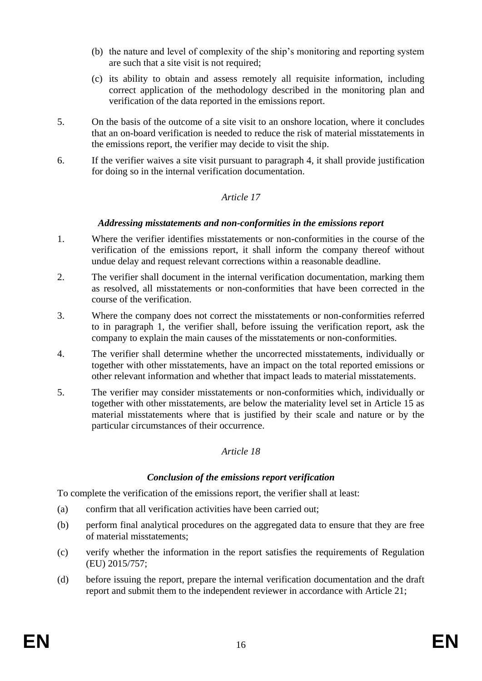- (b) the nature and level of complexity of the ship's monitoring and reporting system are such that a site visit is not required;
- (c) its ability to obtain and assess remotely all requisite information, including correct application of the methodology described in the monitoring plan and verification of the data reported in the emissions report.
- 5. On the basis of the outcome of a site visit to an onshore location, where it concludes that an on-board verification is needed to reduce the risk of material misstatements in the emissions report, the verifier may decide to visit the ship.
- 6. If the verifier waives a site visit pursuant to paragraph 4, it shall provide justification for doing so in the internal verification documentation.

## *Addressing misstatements and non-conformities in the emissions report*

- 1. Where the verifier identifies misstatements or non-conformities in the course of the verification of the emissions report, it shall inform the company thereof without undue delay and request relevant corrections within a reasonable deadline.
- 2. The verifier shall document in the internal verification documentation, marking them as resolved, all misstatements or non-conformities that have been corrected in the course of the verification.
- 3. Where the company does not correct the misstatements or non-conformities referred to in paragraph 1, the verifier shall, before issuing the verification report, ask the company to explain the main causes of the misstatements or non-conformities.
- 4. The verifier shall determine whether the uncorrected misstatements, individually or together with other misstatements, have an impact on the total reported emissions or other relevant information and whether that impact leads to material misstatements.
- 5. The verifier may consider misstatements or non-conformities which, individually or together with other misstatements, are below the materiality level set in Article 15 as material misstatements where that is justified by their scale and nature or by the particular circumstances of their occurrence.

## *Article 18*

## *Conclusion of the emissions report verification*

To complete the verification of the emissions report, the verifier shall at least:

- (a) confirm that all verification activities have been carried out;
- (b) perform final analytical procedures on the aggregated data to ensure that they are free of material misstatements;
- (c) verify whether the information in the report satisfies the requirements of Regulation (EU) 2015/757;
- (d) before issuing the report, prepare the internal verification documentation and the draft report and submit them to the independent reviewer in accordance with Article 21;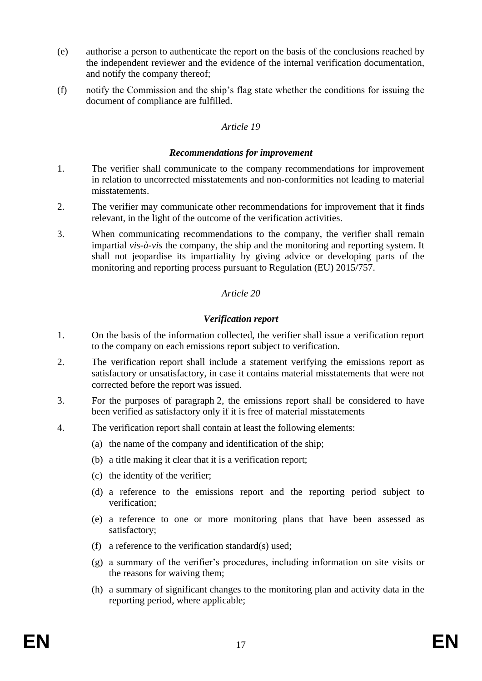- (e) authorise a person to authenticate the report on the basis of the conclusions reached by the independent reviewer and the evidence of the internal verification documentation, and notify the company thereof;
- (f) notify the Commission and the ship's flag state whether the conditions for issuing the document of compliance are fulfilled.

#### *Recommendations for improvement*

- 1. The verifier shall communicate to the company recommendations for improvement in relation to uncorrected misstatements and non-conformities not leading to material misstatements.
- 2. The verifier may communicate other recommendations for improvement that it finds relevant, in the light of the outcome of the verification activities.
- 3. When communicating recommendations to the company, the verifier shall remain impartial *vis-à-vis* the company, the ship and the monitoring and reporting system. It shall not jeopardise its impartiality by giving advice or developing parts of the monitoring and reporting process pursuant to Regulation (EU) 2015/757.

### *Article 20*

### *Verification report*

- 1. On the basis of the information collected, the verifier shall issue a verification report to the company on each emissions report subject to verification.
- 2. The verification report shall include a statement verifying the emissions report as satisfactory or unsatisfactory, in case it contains material misstatements that were not corrected before the report was issued.
- 3. For the purposes of paragraph 2, the emissions report shall be considered to have been verified as satisfactory only if it is free of material misstatements
- 4. The verification report shall contain at least the following elements:
	- (a) the name of the company and identification of the ship;
	- (b) a title making it clear that it is a verification report;
	- (c) the identity of the verifier;
	- (d) a reference to the emissions report and the reporting period subject to verification;
	- (e) a reference to one or more monitoring plans that have been assessed as satisfactory;
	- (f) a reference to the verification standard(s) used;
	- (g) a summary of the verifier's procedures, including information on site visits or the reasons for waiving them;
	- (h) a summary of significant changes to the monitoring plan and activity data in the reporting period, where applicable;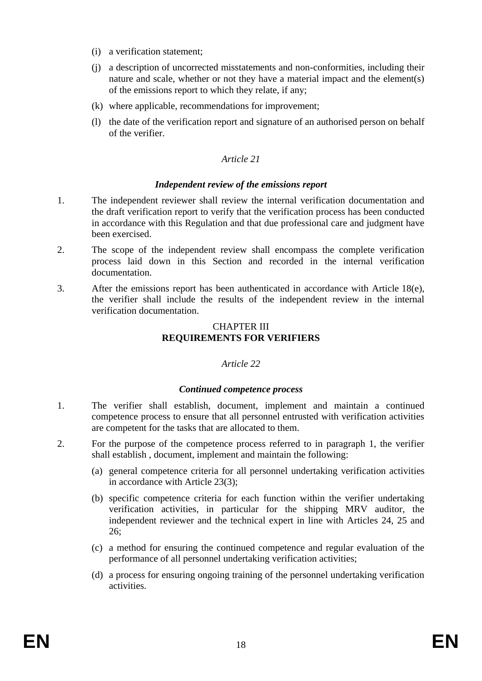- (i) a verification statement;
- (j) a description of uncorrected misstatements and non-conformities, including their nature and scale, whether or not they have a material impact and the element(s) of the emissions report to which they relate, if any;
- (k) where applicable, recommendations for improvement;
- (l) the date of the verification report and signature of an authorised person on behalf of the verifier.

#### *Independent review of the emissions report*

- 1. The independent reviewer shall review the internal verification documentation and the draft verification report to verify that the verification process has been conducted in accordance with this Regulation and that due professional care and judgment have been exercised.
- 2. The scope of the independent review shall encompass the complete verification process laid down in this Section and recorded in the internal verification documentation.
- 3. After the emissions report has been authenticated in accordance with Article 18(e), the verifier shall include the results of the independent review in the internal verification documentation.

### CHAPTER III **REQUIREMENTS FOR VERIFIERS**

## *Article 22*

#### *Continued competence process*

- 1. The verifier shall establish, document, implement and maintain a continued competence process to ensure that all personnel entrusted with verification activities are competent for the tasks that are allocated to them.
- 2. For the purpose of the competence process referred to in paragraph 1, the verifier shall establish , document, implement and maintain the following:
	- (a) general competence criteria for all personnel undertaking verification activities in accordance with Article 23(3);
	- (b) specific competence criteria for each function within the verifier undertaking verification activities, in particular for the shipping MRV auditor, the independent reviewer and the technical expert in line with Articles 24, 25 and 26;
	- (c) a method for ensuring the continued competence and regular evaluation of the performance of all personnel undertaking verification activities;
	- (d) a process for ensuring ongoing training of the personnel undertaking verification activities.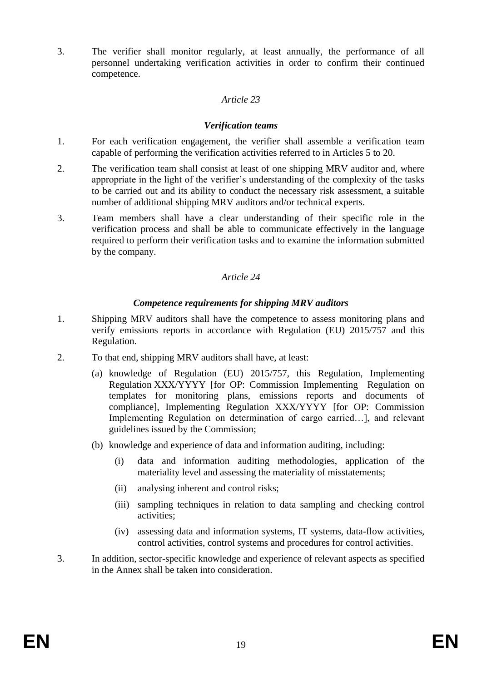3. The verifier shall monitor regularly, at least annually, the performance of all personnel undertaking verification activities in order to confirm their continued competence.

### *Article 23*

### *Verification teams*

- 1. For each verification engagement, the verifier shall assemble a verification team capable of performing the verification activities referred to in Articles 5 to 20.
- 2. The verification team shall consist at least of one shipping MRV auditor and, where appropriate in the light of the verifier's understanding of the complexity of the tasks to be carried out and its ability to conduct the necessary risk assessment, a suitable number of additional shipping MRV auditors and/or technical experts.
- 3. Team members shall have a clear understanding of their specific role in the verification process and shall be able to communicate effectively in the language required to perform their verification tasks and to examine the information submitted by the company.

### *Article 24*

#### *Competence requirements for shipping MRV auditors*

- 1. Shipping MRV auditors shall have the competence to assess monitoring plans and verify emissions reports in accordance with Regulation (EU) 2015/757 and this Regulation.
- 2. To that end, shipping MRV auditors shall have, at least:
	- (a) knowledge of Regulation (EU) 2015/757, this Regulation, Implementing Regulation XXX/YYYY [for OP: Commission Implementing Regulation on templates for monitoring plans, emissions reports and documents of compliance], Implementing Regulation XXX/YYYY [for OP: Commission Implementing Regulation on determination of cargo carried…], and relevant guidelines issued by the Commission;
	- (b) knowledge and experience of data and information auditing, including:
		- (i) data and information auditing methodologies, application of the materiality level and assessing the materiality of misstatements;
		- (ii) analysing inherent and control risks;
		- (iii) sampling techniques in relation to data sampling and checking control activities;
		- (iv) assessing data and information systems, IT systems, data-flow activities, control activities, control systems and procedures for control activities.
- 3. In addition, sector-specific knowledge and experience of relevant aspects as specified in the Annex shall be taken into consideration.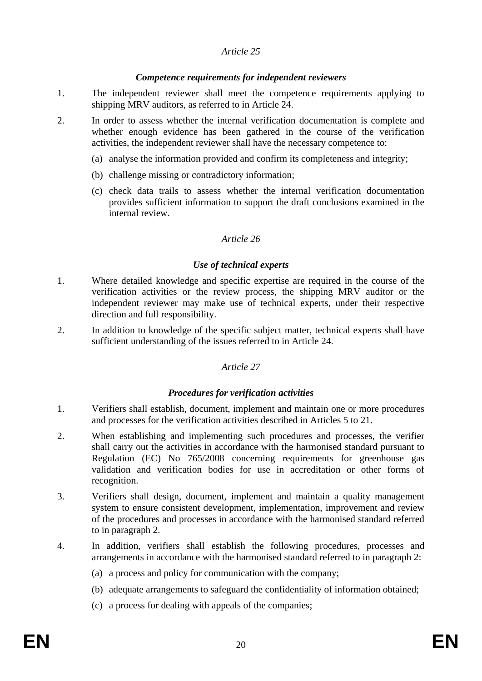### *Competence requirements for independent reviewers*

- 1. The independent reviewer shall meet the competence requirements applying to shipping MRV auditors, as referred to in Article 24.
- 2. In order to assess whether the internal verification documentation is complete and whether enough evidence has been gathered in the course of the verification activities, the independent reviewer shall have the necessary competence to:
	- (a) analyse the information provided and confirm its completeness and integrity;
	- (b) challenge missing or contradictory information;
	- (c) check data trails to assess whether the internal verification documentation provides sufficient information to support the draft conclusions examined in the internal review.

### *Article 26*

### *Use of technical experts*

- 1. Where detailed knowledge and specific expertise are required in the course of the verification activities or the review process, the shipping MRV auditor or the independent reviewer may make use of technical experts, under their respective direction and full responsibility.
- 2. In addition to knowledge of the specific subject matter, technical experts shall have sufficient understanding of the issues referred to in Article 24.

## *Article 27*

#### *Procedures for verification activities*

- 1. Verifiers shall establish, document, implement and maintain one or more procedures and processes for the verification activities described in Articles 5 to 21.
- 2. When establishing and implementing such procedures and processes, the verifier shall carry out the activities in accordance with the harmonised standard pursuant to Regulation (EC) No 765/2008 concerning requirements for greenhouse gas validation and verification bodies for use in accreditation or other forms of recognition.
- 3. Verifiers shall design, document, implement and maintain a quality management system to ensure consistent development, implementation, improvement and review of the procedures and processes in accordance with the harmonised standard referred to in paragraph 2.
- 4. In addition, verifiers shall establish the following procedures, processes and arrangements in accordance with the harmonised standard referred to in paragraph 2:
	- (a) a process and policy for communication with the company;
	- (b) adequate arrangements to safeguard the confidentiality of information obtained;
	- (c) a process for dealing with appeals of the companies;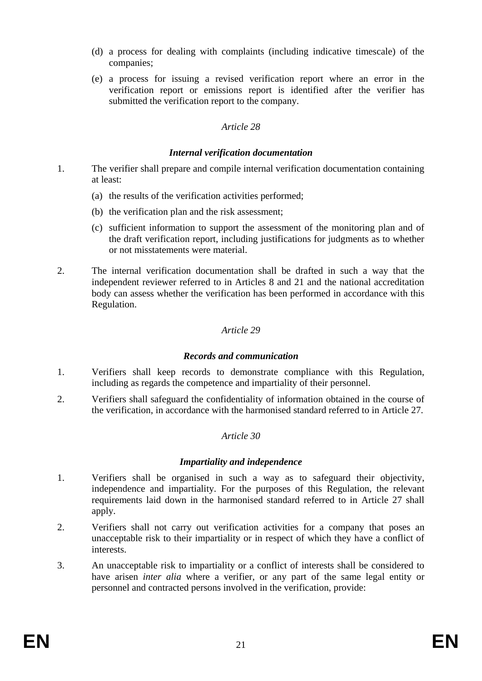- (d) a process for dealing with complaints (including indicative timescale) of the companies;
- (e) a process for issuing a revised verification report where an error in the verification report or emissions report is identified after the verifier has submitted the verification report to the company.

#### *Internal verification documentation*

- 1. The verifier shall prepare and compile internal verification documentation containing at least:
	- (a) the results of the verification activities performed;
	- (b) the verification plan and the risk assessment;
	- (c) sufficient information to support the assessment of the monitoring plan and of the draft verification report, including justifications for judgments as to whether or not misstatements were material.
- 2. The internal verification documentation shall be drafted in such a way that the independent reviewer referred to in Articles 8 and 21 and the national accreditation body can assess whether the verification has been performed in accordance with this Regulation.

### *Article 29*

#### *Records and communication*

- 1. Verifiers shall keep records to demonstrate compliance with this Regulation, including as regards the competence and impartiality of their personnel.
- 2. Verifiers shall safeguard the confidentiality of information obtained in the course of the verification, in accordance with the harmonised standard referred to in Article 27.

#### *Article 30*

## *Impartiality and independence*

- 1. Verifiers shall be organised in such a way as to safeguard their objectivity, independence and impartiality. For the purposes of this Regulation, the relevant requirements laid down in the harmonised standard referred to in Article 27 shall apply.
- 2. Verifiers shall not carry out verification activities for a company that poses an unacceptable risk to their impartiality or in respect of which they have a conflict of interests.
- 3. An unacceptable risk to impartiality or a conflict of interests shall be considered to have arisen *inter alia* where a verifier, or any part of the same legal entity or personnel and contracted persons involved in the verification, provide: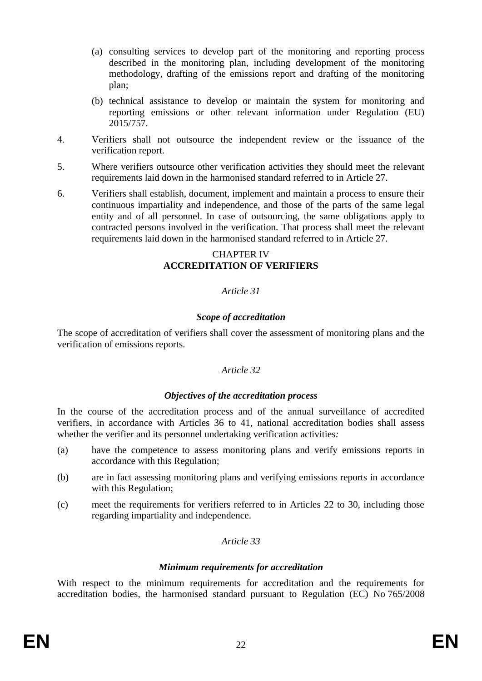- (a) consulting services to develop part of the monitoring and reporting process described in the monitoring plan, including development of the monitoring methodology, drafting of the emissions report and drafting of the monitoring plan;
- (b) technical assistance to develop or maintain the system for monitoring and reporting emissions or other relevant information under Regulation (EU) 2015/757.
- 4. Verifiers shall not outsource the independent review or the issuance of the verification report.
- 5. Where verifiers outsource other verification activities they should meet the relevant requirements laid down in the harmonised standard referred to in Article 27.
- 6. Verifiers shall establish, document, implement and maintain a process to ensure their continuous impartiality and independence, and those of the parts of the same legal entity and of all personnel. In case of outsourcing, the same obligations apply to contracted persons involved in the verification. That process shall meet the relevant requirements laid down in the harmonised standard referred to in Article 27.

# CHAPTER IV **ACCREDITATION OF VERIFIERS**

## *Article 31*

## *Scope of accreditation*

The scope of accreditation of verifiers shall cover the assessment of monitoring plans and the verification of emissions reports.

#### *Article 32*

#### *Objectives of the accreditation process*

In the course of the accreditation process and of the annual surveillance of accredited verifiers, in accordance with Articles 36 to 41, national accreditation bodies shall assess whether the verifier and its personnel undertaking verification activities*:* 

- (a) have the competence to assess monitoring plans and verify emissions reports in accordance with this Regulation;
- (b) are in fact assessing monitoring plans and verifying emissions reports in accordance with this Regulation;
- (c) meet the requirements for verifiers referred to in Articles 22 to 30, including those regarding impartiality and independence.

## *Article 33*

#### *Minimum requirements for accreditation*

With respect to the minimum requirements for accreditation and the requirements for accreditation bodies, the harmonised standard pursuant to Regulation (EC) No 765/2008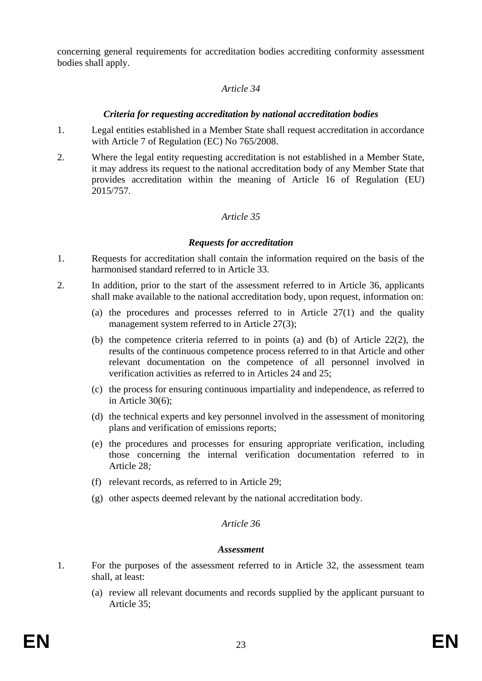concerning general requirements for accreditation bodies accrediting conformity assessment bodies shall apply.

#### *Article 34*

#### *Criteria for requesting accreditation by national accreditation bodies*

- 1. Legal entities established in a Member State shall request accreditation in accordance with Article 7 of Regulation (EC) No 765/2008.
- 2. Where the legal entity requesting accreditation is not established in a Member State, it may address its request to the national accreditation body of any Member State that provides accreditation within the meaning of Article 16 of Regulation (EU) 2015/757.

#### *Article 35*

#### *Requests for accreditation*

- 1. Requests for accreditation shall contain the information required on the basis of the harmonised standard referred to in Article 33.
- 2. In addition, prior to the start of the assessment referred to in Article 36, applicants shall make available to the national accreditation body, upon request, information on:
	- (a) the procedures and processes referred to in Article  $27(1)$  and the quality management system referred to in Article 27(3):
	- (b) the competence criteria referred to in points (a) and (b) of Article 22(2), the results of the continuous competence process referred to in that Article and other relevant documentation on the competence of all personnel involved in verification activities as referred to in Articles 24 and 25;
	- (c) the process for ensuring continuous impartiality and independence, as referred to in Article 30(6);
	- (d) the technical experts and key personnel involved in the assessment of monitoring plans and verification of emissions reports;
	- (e) the procedures and processes for ensuring appropriate verification, including those concerning the internal verification documentation referred to in Article 28*;*
	- (f) relevant records, as referred to in Article 29;
	- (g) other aspects deemed relevant by the national accreditation body.

#### *Article 36*

#### *Assessment*

- 1. For the purposes of the assessment referred to in Article 32, the assessment team shall, at least:
	- (a) review all relevant documents and records supplied by the applicant pursuant to Article 35;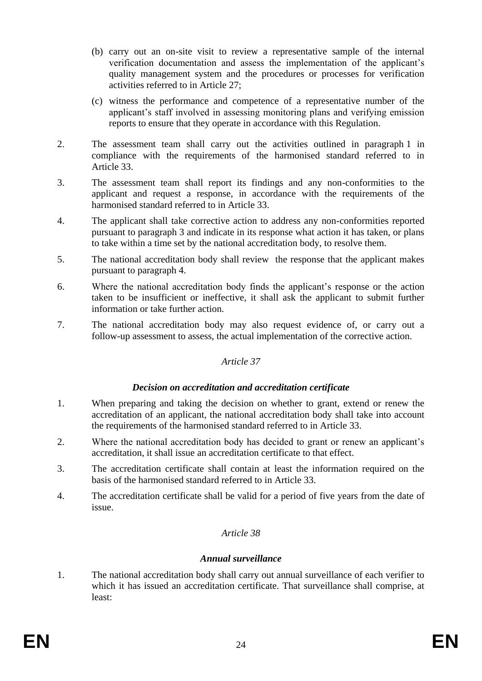- (b) carry out an on-site visit to review a representative sample of the internal verification documentation and assess the implementation of the applicant's quality management system and the procedures or processes for verification activities referred to in Article 27;
- (c) witness the performance and competence of a representative number of the applicant's staff involved in assessing monitoring plans and verifying emission reports to ensure that they operate in accordance with this Regulation.
- 2. The assessment team shall carry out the activities outlined in paragraph 1 in compliance with the requirements of the harmonised standard referred to in Article 33.
- 3. The assessment team shall report its findings and any non-conformities to the applicant and request a response, in accordance with the requirements of the harmonised standard referred to in Article 33.
- 4. The applicant shall take corrective action to address any non-conformities reported pursuant to paragraph 3 and indicate in its response what action it has taken, or plans to take within a time set by the national accreditation body, to resolve them.
- 5. The national accreditation body shall review the response that the applicant makes pursuant to paragraph 4.
- 6. Where the national accreditation body finds the applicant's response or the action taken to be insufficient or ineffective, it shall ask the applicant to submit further information or take further action.
- 7. The national accreditation body may also request evidence of, or carry out a follow-up assessment to assess, the actual implementation of the corrective action.

#### *Decision on accreditation and accreditation certificate*

- 1. When preparing and taking the decision on whether to grant, extend or renew the accreditation of an applicant, the national accreditation body shall take into account the requirements of the harmonised standard referred to in Article 33.
- 2. Where the national accreditation body has decided to grant or renew an applicant's accreditation, it shall issue an accreditation certificate to that effect.
- 3. The accreditation certificate shall contain at least the information required on the basis of the harmonised standard referred to in Article 33.
- 4. The accreditation certificate shall be valid for a period of five years from the date of issue.

#### *Article 38*

#### *Annual surveillance*

1. The national accreditation body shall carry out annual surveillance of each verifier to which it has issued an accreditation certificate. That surveillance shall comprise, at least: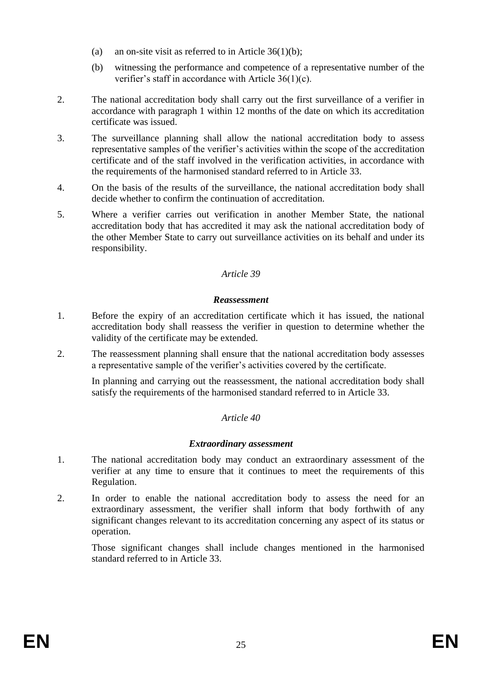- (a) an on-site visit as referred to in Article  $36(1)(b)$ ;
- (b) witnessing the performance and competence of a representative number of the verifier's staff in accordance with Article 36(1)(c).
- 2. The national accreditation body shall carry out the first surveillance of a verifier in accordance with paragraph 1 within 12 months of the date on which its accreditation certificate was issued.
- 3. The surveillance planning shall allow the national accreditation body to assess representative samples of the verifier's activities within the scope of the accreditation certificate and of the staff involved in the verification activities, in accordance with the requirements of the harmonised standard referred to in Article 33.
- 4. On the basis of the results of the surveillance, the national accreditation body shall decide whether to confirm the continuation of accreditation.
- 5. Where a verifier carries out verification in another Member State, the national accreditation body that has accredited it may ask the national accreditation body of the other Member State to carry out surveillance activities on its behalf and under its responsibility.

#### *Reassessment*

- 1. Before the expiry of an accreditation certificate which it has issued, the national accreditation body shall reassess the verifier in question to determine whether the validity of the certificate may be extended.
- 2. The reassessment planning shall ensure that the national accreditation body assesses a representative sample of the verifier's activities covered by the certificate.

In planning and carrying out the reassessment, the national accreditation body shall satisfy the requirements of the harmonised standard referred to in Article 33.

#### *Article 40*

#### *Extraordinary assessment*

- 1. The national accreditation body may conduct an extraordinary assessment of the verifier at any time to ensure that it continues to meet the requirements of this Regulation.
- 2. In order to enable the national accreditation body to assess the need for an extraordinary assessment, the verifier shall inform that body forthwith of any significant changes relevant to its accreditation concerning any aspect of its status or operation.

Those significant changes shall include changes mentioned in the harmonised standard referred to in Article 33.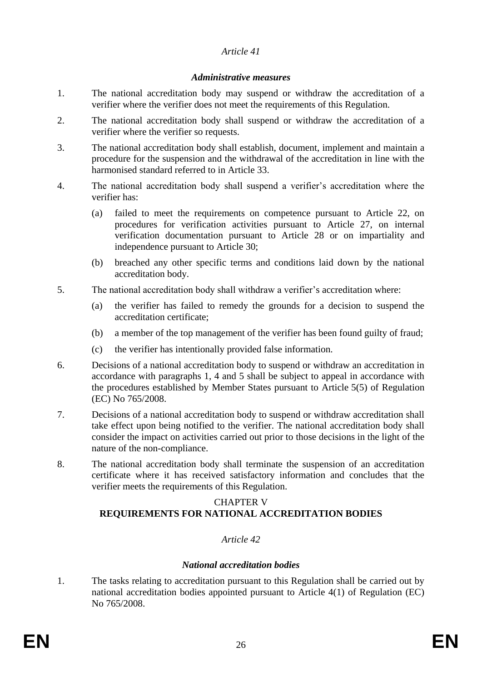### *Administrative measures*

- 1. The national accreditation body may suspend or withdraw the accreditation of a verifier where the verifier does not meet the requirements of this Regulation.
- 2. The national accreditation body shall suspend or withdraw the accreditation of a verifier where the verifier so requests.
- 3. The national accreditation body shall establish, document, implement and maintain a procedure for the suspension and the withdrawal of the accreditation in line with the harmonised standard referred to in Article 33.
- 4. The national accreditation body shall suspend a verifier's accreditation where the verifier has:
	- (a) failed to meet the requirements on competence pursuant to Article 22, on procedures for verification activities pursuant to Article 27, on internal verification documentation pursuant to Article 28 or on impartiality and independence pursuant to Article 30;
	- (b) breached any other specific terms and conditions laid down by the national accreditation body.
- 5. The national accreditation body shall withdraw a verifier's accreditation where:
	- (a) the verifier has failed to remedy the grounds for a decision to suspend the accreditation certificate;
	- (b) a member of the top management of the verifier has been found guilty of fraud;
	- (c) the verifier has intentionally provided false information.
- 6. Decisions of a national accreditation body to suspend or withdraw an accreditation in accordance with paragraphs 1, 4 and 5 shall be subject to appeal in accordance with the procedures established by Member States pursuant to Article 5(5) of Regulation (EC) No 765/2008.
- 7. Decisions of a national accreditation body to suspend or withdraw accreditation shall take effect upon being notified to the verifier. The national accreditation body shall consider the impact on activities carried out prior to those decisions in the light of the nature of the non-compliance.
- 8. The national accreditation body shall terminate the suspension of an accreditation certificate where it has received satisfactory information and concludes that the verifier meets the requirements of this Regulation.

## CHAPTER V **REQUIREMENTS FOR NATIONAL ACCREDITATION BODIES**

## *Article 42*

## *National accreditation bodies*

1. The tasks relating to accreditation pursuant to this Regulation shall be carried out by national accreditation bodies appointed pursuant to Article 4(1) of Regulation (EC) No 765/2008.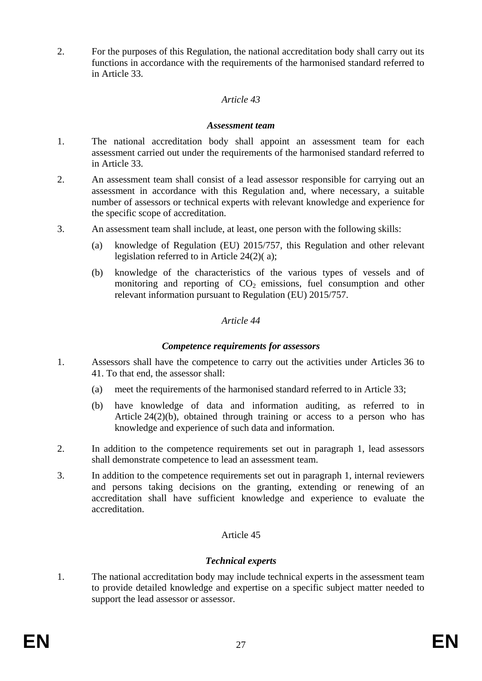2. For the purposes of this Regulation, the national accreditation body shall carry out its functions in accordance with the requirements of the harmonised standard referred to in Article 33.

### *Article 43*

#### *Assessment team*

- 1. The national accreditation body shall appoint an assessment team for each assessment carried out under the requirements of the harmonised standard referred to in Article 33.
- 2. An assessment team shall consist of a lead assessor responsible for carrying out an assessment in accordance with this Regulation and, where necessary, a suitable number of assessors or technical experts with relevant knowledge and experience for the specific scope of accreditation.
- 3. An assessment team shall include, at least, one person with the following skills:
	- (a) knowledge of Regulation (EU) 2015/757, this Regulation and other relevant legislation referred to in Article 24(2)( a);
	- (b) knowledge of the characteristics of the various types of vessels and of monitoring and reporting of  $CO<sub>2</sub>$  emissions, fuel consumption and other relevant information pursuant to Regulation (EU) 2015/757.

### *Article 44*

### *Competence requirements for assessors*

- 1. Assessors shall have the competence to carry out the activities under Articles 36 to 41. To that end, the assessor shall:
	- (a) meet the requirements of the harmonised standard referred to in Article 33;
	- (b) have knowledge of data and information auditing, as referred to in Article 24(2)(b), obtained through training or access to a person who has knowledge and experience of such data and information.
- 2. In addition to the competence requirements set out in paragraph 1, lead assessors shall demonstrate competence to lead an assessment team.
- 3. In addition to the competence requirements set out in paragraph 1, internal reviewers and persons taking decisions on the granting, extending or renewing of an accreditation shall have sufficient knowledge and experience to evaluate the accreditation.

## Article 45

## *Technical experts*

1. The national accreditation body may include technical experts in the assessment team to provide detailed knowledge and expertise on a specific subject matter needed to support the lead assessor or assessor.